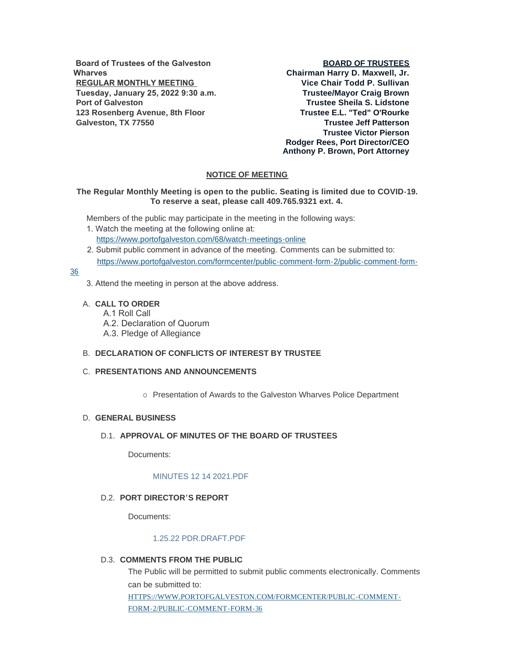**Board of Trustees of the Galveston Wharves REGULAR MONTHLY MEETING Tuesday, January 25, 2022 9:30 a.m. Port of Galveston 123 Rosenberg Avenue, 8th Floor Galveston, TX 77550**

# **BOARD OF TRUSTEES**

**Chairman Harry D. Maxwell, Jr. Vice Chair Todd P. Sullivan Trustee/Mayor Craig Brown Trustee Sheila S. Lidstone Trustee E.L. "Ted" O'Rourke Trustee Jeff Patterson Trustee Victor Pierson Rodger Rees, Port Director/CEO Anthony P. Brown, Port Attorney**

# **NOTICE OF MEETING**

# **The Regular Monthly Meeting is open to the public. Seating is limited due to COVID-19. To reserve a seat, please call 409.765.9321 ext. 4.**

Members of the public may participate in the meeting in the following ways:

- 1. Watch the meeting at the following online at: [https://www.portofgalveston.com/68/watch-meetings-online](https://www.portofgalveston.com/68/Watch-Meetings-Online)
- 2. Submit public comment in advance of the meeting. Comments can be submitted to: [https://www.portofgalveston.com/formcenter/public-comment-form-2/public-comment-form-](https://www.portofgalveston.com/formcenter/public-comment-form-2/public-comment-form-36)

# 36

- 3. Attend the meeting in person at the above address.
- **CALL TO ORDER** A.
	- A.1 Roll Call
	- A.2. Declaration of Quorum
	- A.3. Pledge of Allegiance

# **DECLARATION OF CONFLICTS OF INTEREST BY TRUSTEE** B.

# **PRESENTATIONS AND ANNOUNCEMENTS** C.

o Presentation of Awards to the Galveston Wharves Police Department

# **GENERAL BUSINESS** D.

# D.1. APPROVAL OF MINUTES OF THE BOARD OF TRUSTEES

Documents:

# [MINUTES 12 14 2021.PDF](https://www.portofgalveston.com/AgendaCenter/ViewFile/Item/4669?fileID=8259)

# **PORT DIRECTOR'S REPORT** D.2.

Documents:

#### [1.25.22 PDR.DRAFT.PDF](https://www.portofgalveston.com/AgendaCenter/ViewFile/Item/4640?fileID=8282)

D.3. COMMENTS FROM THE PUBLIC

The Public will be permitted to submit public comments electronically. Comments can be submitted to: [HTTPS://WWW.PORTOFGALVESTON.COM/FORMCENTER/PUBLIC-COMMENT-](https://www.portofgalveston.com/FORMCENTER/PUBLIC-COMMENT-FORM-2/PUBLIC-COMMENT-FORM-36)FORM-2/PUBLIC-COMMENT-FORM-36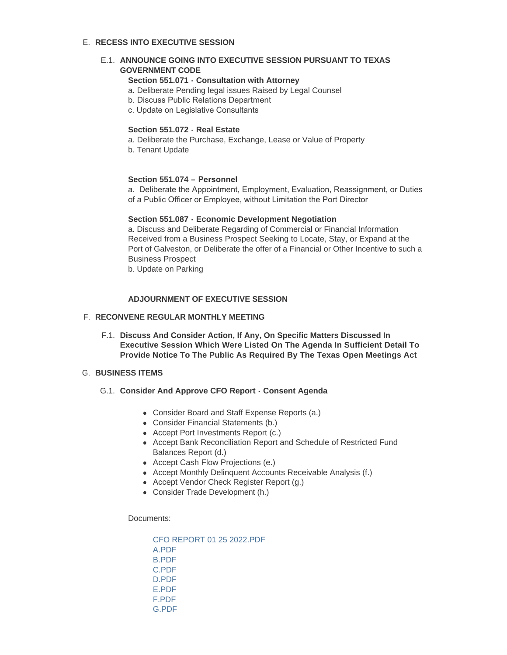# **RECESS INTO EXECUTIVE SESSION**  E.

# **E.1. ANNOUNCE GOING INTO EXECUTIVE SESSION PURSUANT TO TEXAS GOVERNMENT CODE**

# **Section 551.071 - Consultation with Attorney**

- a. Deliberate Pending legal issues Raised by Legal Counsel
- b. Discuss Public Relations Department
- c. Update on Legislative Consultants

#### **Section 551.072 - Real Estate**

- a. Deliberate the Purchase, Exchange, Lease or Value of Property
- b. Tenant Update

### **Section 551.074 – Personnel**

a. Deliberate the Appointment, Employment, Evaluation, Reassignment, or Duties of a Public Officer or Employee, without Limitation the Port Director

# **Section 551.087 - Economic Development Negotiation**

a. Discuss and Deliberate Regarding of Commercial or Financial Information Received from a Business Prospect Seeking to Locate, Stay, or Expand at the Port of Galveston, or Deliberate the offer of a Financial or Other Incentive to such a Business Prospect

b. Update on Parking

# **ADJOURNMENT OF EXECUTIVE SESSION**

#### **RECONVENE REGULAR MONTHLY MEETING** F.

**Discuss And Consider Action, If Any, On Specific Matters Discussed In**  F.1. **Executive Session Which Were Listed On The Agenda In Sufficient Detail To Provide Notice To The Public As Required By The Texas Open Meetings Act** 

#### **BUSINESS ITEMS** G.

- G.1. Consider And Approve CFO Report Consent Agenda
	- Consider Board and Staff Expense Reports (a.)
	- Consider Financial Statements (b.)
	- Accept Port Investments Report (c.)
	- Accept Bank Reconciliation Report and Schedule of Restricted Fund Balances Report (d.)
	- Accept Cash Flow Projections (e.)
	- Accept Monthly Delinquent Accounts Receivable Analysis (f.)
	- Accept Vendor Check Register Report (g.)
	- Consider Trade Development (h.)

Documents:

[CFO REPORT 01 25 2022.PDF](https://www.portofgalveston.com/AgendaCenter/ViewFile/Item/4656?fileID=8260) [A.PDF](https://www.portofgalveston.com/AgendaCenter/ViewFile/Item/4656?fileID=8261) [B.PDF](https://www.portofgalveston.com/AgendaCenter/ViewFile/Item/4656?fileID=8262) [C.PDF](https://www.portofgalveston.com/AgendaCenter/ViewFile/Item/4656?fileID=8263) [D.PDF](https://www.portofgalveston.com/AgendaCenter/ViewFile/Item/4656?fileID=8264) [E.PDF](https://www.portofgalveston.com/AgendaCenter/ViewFile/Item/4656?fileID=8265) [F.PDF](https://www.portofgalveston.com/AgendaCenter/ViewFile/Item/4656?fileID=8266) [G.PDF](https://www.portofgalveston.com/AgendaCenter/ViewFile/Item/4656?fileID=8267)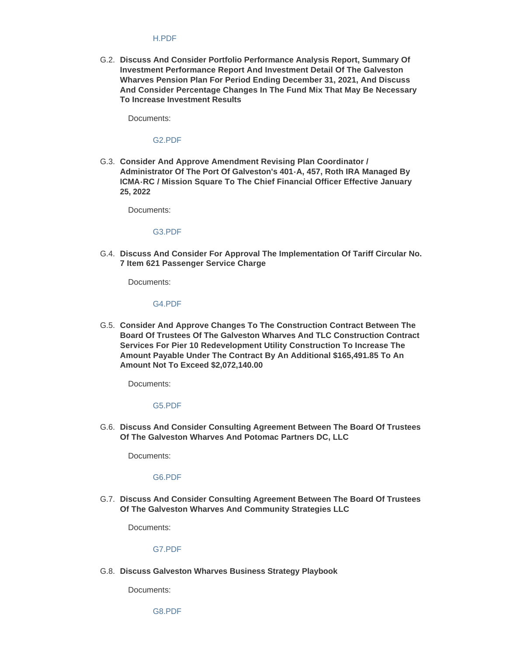#### [H.PDF](https://www.portofgalveston.com/AgendaCenter/ViewFile/Item/4656?fileID=8268)

**Discuss And Consider Portfolio Performance Analysis Report, Summary Of**  G.2. **Investment Performance Report And Investment Detail Of The Galveston Wharves Pension Plan For Period Ending December 31, 2021, And Discuss And Consider Percentage Changes In The Fund Mix That May Be Necessary To Increase Investment Results** 

Documents:

[G2.PDF](https://www.portofgalveston.com/AgendaCenter/ViewFile/Item/4650?fileID=8276)

G.3. Consider And Approve Amendment Revising Plan Coordinator / **Administrator Of The Port Of Galveston's 401-A, 457, Roth IRA Managed By ICMA-RC / Mission Square To The Chief Financial Officer Effective January 25, 2022**

Documents:

[G3.PDF](https://www.portofgalveston.com/AgendaCenter/ViewFile/Item/4666?fileID=8269)

**Discuss And Consider For Approval The Implementation Of Tariff Circular No.**  G.4. **7 Item 621 Passenger Service Charge**

Documents:

[G4.PDF](https://www.portofgalveston.com/AgendaCenter/ViewFile/Item/4660?fileID=8274)

G.5. Consider And Approve Changes To The Construction Contract Between The **Board Of Trustees Of The Galveston Wharves And TLC Construction Contract Services For Pier 10 Redevelopment Utility Construction To Increase The Amount Payable Under The Contract By An Additional \$165,491.85 To An Amount Not To Exceed \$2,072,140.00**

Documents:

# [G5.PDF](https://www.portofgalveston.com/AgendaCenter/ViewFile/Item/4655?fileID=8270)

**Discuss And Consider Consulting Agreement Between The Board Of Trustees**  G.6. **Of The Galveston Wharves And Potomac Partners DC, LLC** 

Documents:

#### [G6.PDF](https://www.portofgalveston.com/AgendaCenter/ViewFile/Item/4652?fileID=8273)

**Discuss And Consider Consulting Agreement Between The Board Of Trustees**  G.7. **Of The Galveston Wharves And Community Strategies LLC** 

Documents:

#### [G7.PDF](https://www.portofgalveston.com/AgendaCenter/ViewFile/Item/4651?fileID=8272)

**Discuss Galveston Wharves Business Strategy Playbook**  G.8.

Documents:

[G8.PDF](https://www.portofgalveston.com/AgendaCenter/ViewFile/Item/4661?fileID=8281)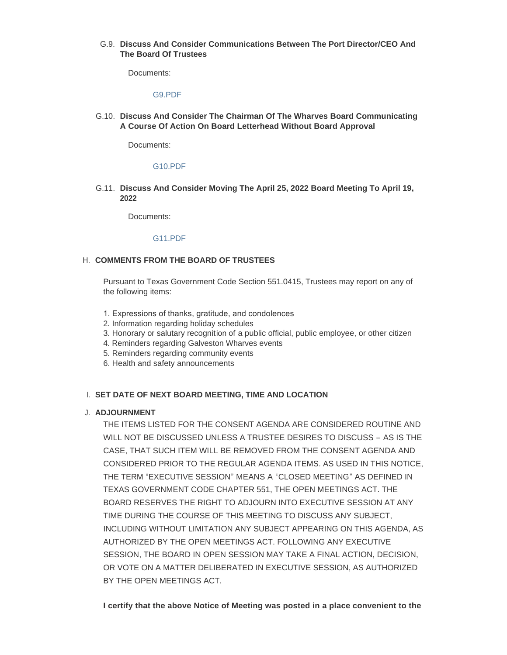# **Discuss And Consider Communications Between The Port Director/CEO And**  G.9. **The Board Of Trustees**

Documents:

#### [G9.PDF](https://www.portofgalveston.com/AgendaCenter/ViewFile/Item/4664?fileID=8279)

**Discuss And Consider The Chairman Of The Wharves Board Communicating**  G.10. **A Course Of Action On Board Letterhead Without Board Approval**

Documents:

#### [G10.PDF](https://www.portofgalveston.com/AgendaCenter/ViewFile/Item/4663?fileID=8283)

**Discuss And Consider Moving The April 25, 2022 Board Meeting To April 19,**  G.11. **2022**

Documents:

#### [G11.PDF](https://www.portofgalveston.com/AgendaCenter/ViewFile/Item/4662?fileID=8280)

#### **COMMENTS FROM THE BOARD OF TRUSTEES**  H.

Pursuant to Texas Government Code Section 551.0415, Trustees may report on any of the following items:

- 1. Expressions of thanks, gratitude, and condolences
- 2. Information regarding holiday schedules
- 3. Honorary or salutary recognition of a public official, public employee, or other citizen
- 4. Reminders regarding Galveston Wharves events
- 5. Reminders regarding community events
- 6. Health and safety announcements

#### **SET DATE OF NEXT BOARD MEETING, TIME AND LOCATION** I.

#### **ADJOURNMENT** J.

THE ITEMS LISTED FOR THE CONSENT AGENDA ARE CONSIDERED ROUTINE AND WILL NOT BE DISCUSSED UNLESS A TRUSTEE DESIRES TO DISCUSS – AS IS THE CASE, THAT SUCH ITEM WILL BE REMOVED FROM THE CONSENT AGENDA AND CONSIDERED PRIOR TO THE REGULAR AGENDA ITEMS. AS USED IN THIS NOTICE, THE TERM "EXECUTIVE SESSION" MEANS A "CLOSED MEETING" AS DEFINED IN TEXAS GOVERNMENT CODE CHAPTER 551, THE OPEN MEETINGS ACT. THE BOARD RESERVES THE RIGHT TO ADJOURN INTO EXECUTIVE SESSION AT ANY TIME DURING THE COURSE OF THIS MEETING TO DISCUSS ANY SUBJECT, INCLUDING WITHOUT LIMITATION ANY SUBJECT APPEARING ON THIS AGENDA, AS AUTHORIZED BY THE OPEN MEETINGS ACT. FOLLOWING ANY EXECUTIVE SESSION, THE BOARD IN OPEN SESSION MAY TAKE A FINAL ACTION, DECISION, OR VOTE ON A MATTER DELIBERATED IN EXECUTIVE SESSION, AS AUTHORIZED BY THE OPEN MEETINGS ACT.

**I certify that the above Notice of Meeting was posted in a place convenient to the**